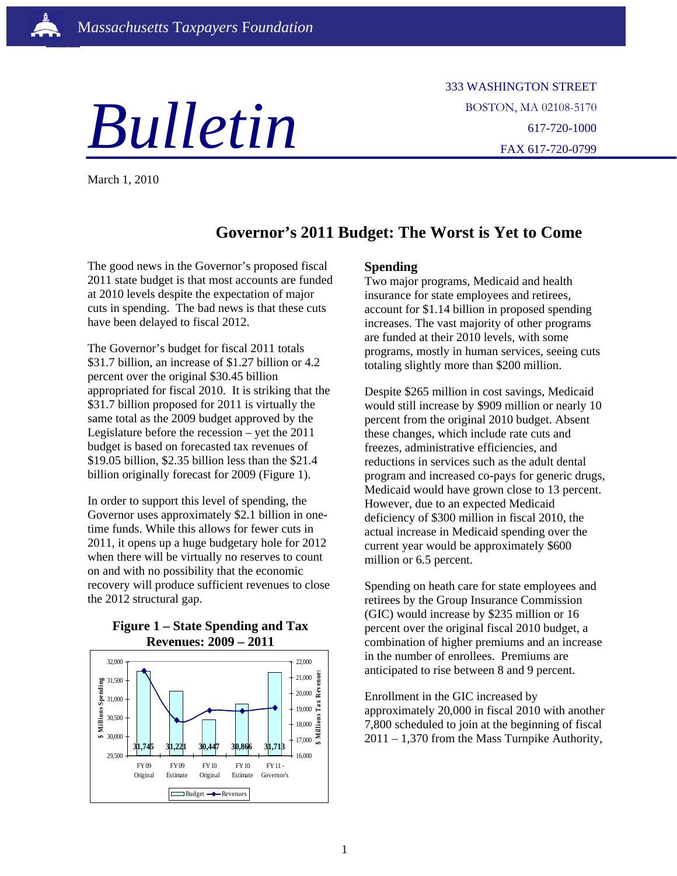

333 WASHINGTON STREET BOSTON, MA 02108-5170 617-720-1000 FAX 617-720-0799

March 1, 2010

ì

# **Governor's 2011 Budget: The Worst is Yet to Come**

The good news in the Governor's proposed fiscal 2011 state budget is that most accounts are funded at 2010 levels despite the expectation of major cuts in spending. The bad news is that these cuts have been delayed to fiscal 2012.

The Governor's budget for fiscal 2011 totals \$31.7 billion, an increase of \$1.27 billion or 4.2 percent over the original \$30.45 billion appropriated for fiscal 2010. It is striking that the \$31.7 billion proposed for 2011 is virtually the same total as the 2009 budget approved by the Legislature before the recession – yet the 2011 budget is based on forecasted tax revenues of \$19.05 billion, \$2.35 billion less than the \$21.4 billion originally forecast for 2009 (Figure 1).

In order to support this level of spending, the Governor uses approximately \$2.1 billion in onetime funds. While this allows for fewer cuts in 2011, it opens up a huge budgetary hole for 2012 when there will be virtually no reserves to count on and with no possibility that the economic recovery will produce sufficient revenues to close the 2012 structural gap.

### **Figure 1 – State Spending and Tax Revenues: 2009 – 2011**



## **Spending**

Two major programs, Medicaid and health insurance for state employees and retirees, account for \$1.14 billion in proposed spending increases. The vast majority of other programs are funded at their 2010 levels, with some programs, mostly in human services, seeing cuts totaling slightly more than \$200 million.

Despite \$265 million in cost savings, Medicaid would still increase by \$909 million or nearly 10 percent from the original 2010 budget. Absent these changes, which include rate cuts and freezes, administrative efficiencies, and reductions in services such as the adult dental program and increased co-pays for generic drugs, Medicaid would have grown close to 13 percent. However, due to an expected Medicaid deficiency of \$300 million in fiscal 2010, the actual increase in Medicaid spending over the current year would be approximately \$600 million or 6.5 percent.

Spending on heath care for state employees and retirees by the Group Insurance Commission (GIC) would increase by \$235 million or 16 percent over the original fiscal 2010 budget, a combination of higher premiums and an increase in the number of enrollees. Premiums are anticipated to rise between 8 and 9 percent.

Enrollment in the GIC increased by approximately 20,000 in fiscal 2010 with another 7,800 scheduled to join at the beginning of fiscal 2011 – 1,370 from the Mass Turnpike Authority,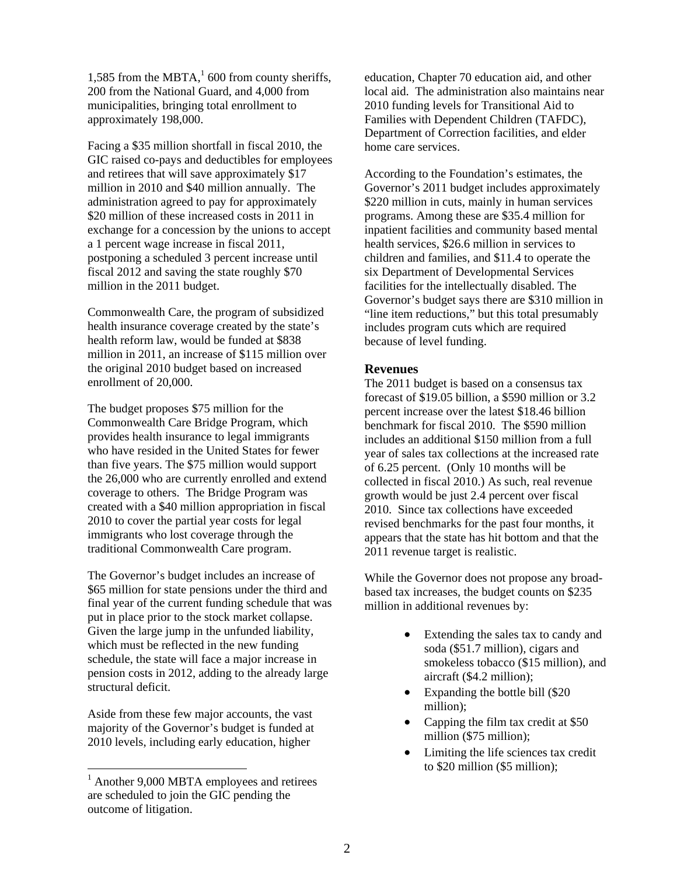1,585 from the MBTA, $1/1600$  from county sheriffs, 200 from the National Guard, and 4,000 from municipalities, bringing total enrollment to approximately 198,000.

Facing a \$35 million shortfall in fiscal 2010, the GIC raised co-pays and deductibles for employees and retirees that will save approximately \$17 million in 2010 and \$40 million annually. The administration agreed to pay for approximately \$20 million of these increased costs in 2011 in exchange for a concession by the unions to accept a 1 percent wage increase in fiscal 2011, postponing a scheduled 3 percent increase until fiscal 2012 and saving the state roughly \$70 million in the 2011 budget.

Commonwealth Care, the program of subsidized health insurance coverage created by the state's health reform law, would be funded at \$838 million in 2011, an increase of \$115 million over the original 2010 budget based on increased enrollment of 20,000.

The budget proposes \$75 million for the Commonwealth Care Bridge Program, which provides health insurance to legal immigrants who have resided in the United States for fewer than five years. The \$75 million would support the 26,000 who are currently enrolled and extend coverage to others. The Bridge Program was created with a \$40 million appropriation in fiscal 2010 to cover the partial year costs for legal immigrants who lost coverage through the traditional Commonwealth Care program.

The Governor's budget includes an increase of \$65 million for state pensions under the third and final year of the current funding schedule that was put in place prior to the stock market collapse. Given the large jump in the unfunded liability, which must be reflected in the new funding schedule, the state will face a major increase in pension costs in 2012, adding to the already large structural deficit.

Aside from these few major accounts, the vast majority of the Governor's budget is funded at 2010 levels, including early education, higher

education, Chapter 70 education aid, and other local aid. The administration also maintains near 2010 funding levels for Transitional Aid to Families with Dependent Children (TAFDC), Department of Correction facilities, and elder home care services.

According to the Foundation's estimates, the Governor's 2011 budget includes approximately \$220 million in cuts, mainly in human services programs. Among these are \$35.4 million for inpatient facilities and community based mental health services, \$26.6 million in services to children and families, and \$11.4 to operate the six Department of Developmental Services facilities for the intellectually disabled. The Governor's budget says there are \$310 million in "line item reductions," but this total presumably includes program cuts which are required because of level funding.

## **Revenues**

The 2011 budget is based on a consensus tax forecast of \$19.05 billion, a \$590 million or 3.2 percent increase over the latest \$18.46 billion benchmark for fiscal 2010. The \$590 million includes an additional \$150 million from a full year of sales tax collections at the increased rate of 6.25 percent. (Only 10 months will be collected in fiscal 2010.) As such, real revenue growth would be just 2.4 percent over fiscal 2010. Since tax collections have exceeded revised benchmarks for the past four months, it appears that the state has hit bottom and that the 2011 revenue target is realistic.

While the Governor does not propose any broadbased tax increases, the budget counts on \$235 million in additional revenues by:

- Extending the sales tax to candy and soda (\$51.7 million), cigars and smokeless tobacco (\$15 million), and aircraft (\$4.2 million);
- Expanding the bottle bill (\$20 million);
- Capping the film tax credit at \$50 million (\$75 million);
- Limiting the life sciences tax credit to \$20 million (\$5 million);

 $\frac{1}{1}$  $^{1}$  Another 9,000 MBTA employees and retirees are scheduled to join the GIC pending the outcome of litigation.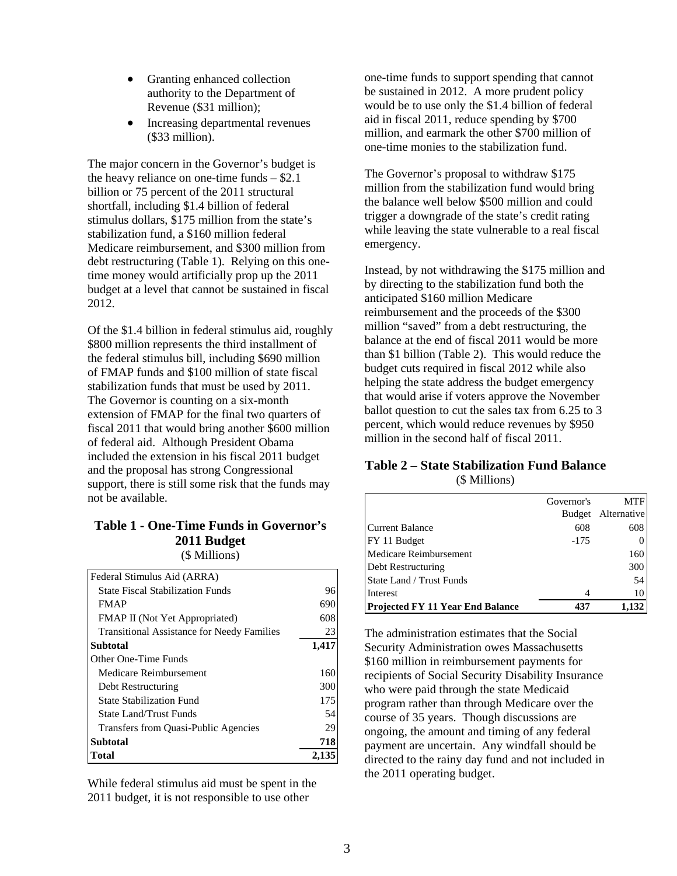- Granting enhanced collection authority to the Department of Revenue (\$31 million);
- Increasing departmental revenues (\$33 million).

The major concern in the Governor's budget is debt restructuring (Table 1). Relying on this onethe heavy reliance on one-time funds – \$2.1 billion or 75 percent of the 2011 structural shortfall, including \$1.4 billion of federal stimulus dollars, \$175 million from the state's stabilization fund, a \$160 million federal Medicare reimbursement, and \$300 million from time money would artificially prop up the 2011 budget at a level that cannot be sustained in fiscal 2012.

Of the \$1.4 billion in federal stimulus aid, roughly the federal stimulus bill, including \$690 million fiscal 2011 that would bring another \$600 million included the extension in his fiscal 2011 budget s upport, there is still some risk that the funds may not be available. \$800 million represents the third installment of of FMAP funds and \$100 million of state fiscal stabilization funds that must be used by 2011. The Governor is counting on a six-month extension of FMAP for the final two quarters of of federal aid. Although President Obama and the proposal has strong Congressional

#### **Table 1 - One-Time Funds in Governor's 2011 Budget** (\$ Millions)

| Federal Stimulus Aid (ARRA)                       |       |
|---------------------------------------------------|-------|
| <b>State Fiscal Stabilization Funds</b>           | 96    |
| <b>FMAP</b>                                       | 690   |
| <b>FMAP II</b> (Not Yet Appropriated)             | 608   |
| <b>Transitional Assistance for Needy Families</b> | 23    |
| <b>Subtotal</b>                                   | 1,417 |
| Other One-Time Funds                              |       |
| Medicare Reimbursement                            | 160   |
| Debt Restructuring                                | 300   |
| <b>State Stabilization Fund</b>                   | 175   |
| State Land/Trust Funds                            | 54    |
| Transfers from Quasi-Public Agencies              | 29    |
| <b>Subtotal</b>                                   | 718   |
| Total                                             | 2,13. |

While federal stimulus aid must be spent in the 2011 budget, it is not responsible to use other

one-time funds to support spending that cann ot be sustained in 2012. A more prud ent policy would be to use only the \$1.4 billion of federal aid in fiscal 2011, reduce spending by \$700 million, and earmark the other \$700 million of one-time monies to the stabilization fund.

million from the stabilization fund would bring the balance well below \$500 million and could while leaving the state vulnerable to a real fiscal The Governor's proposal to withdraw \$175 trigger a downgrade of the state's credit rating emergency.

Instead, by not withdrawing the \$175 million and helping the state address the budget emergency that would arise if voters approve the November percent, which would reduce revenues by \$950 by directing to the stabilization fund both the anticipated \$160 million Medicare reimbursement and the proceeds of the \$300 million "saved" from a debt restructuring, the balance at the end of fiscal 2011 would be more than \$1 billion (Table 2). This would reduce the budget cuts required in fiscal 2012 while also ballot question to cut the sales tax from 6.25 to 3 million in the second half of fiscal 2011.

# **Table 2 – State Stabilization Fund Balance**  (\$ Millions)

|                                         | Governor's | <b>MTF</b>         |
|-----------------------------------------|------------|--------------------|
|                                         |            | Budget Alternative |
| <b>Current Balance</b>                  | 608        | 608                |
| FY 11 Budget                            | $-175$     |                    |
| Medicare Reimbursement                  |            | 160                |
| Debt Restructuring                      |            | 300                |
| State Land / Trust Funds                |            | 54                 |
| Interest                                |            | 10                 |
| <b>Projected FY 11 Year End Balance</b> | 437        |                    |

The administration estimates that the Socia l Security Administration owes Massachusetts \$160 million in reimbursement payments for recipients of Social Security Disability Insuranc e who were paid through the state Medicaid program rather than through Medicare over the course of 35 years. Though discussions are ongoing, the amount and timing of any federal directed to the rainy day fund and not included in payment are uncertain. Any windfall should be the 2011 operating budget.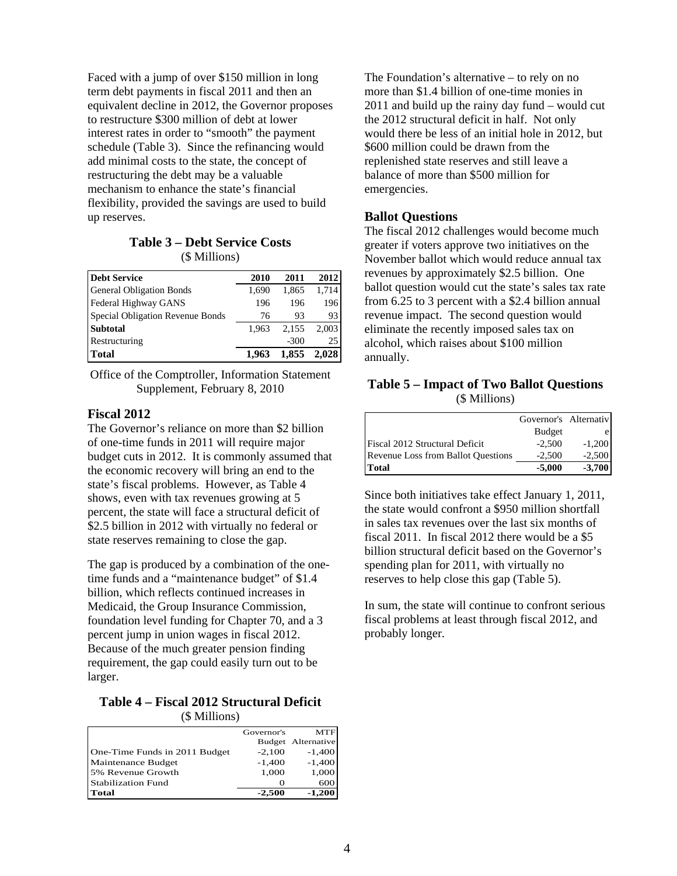Faced with a jump of over \$150 million in long term debt payments in fiscal 2011 and then an equivalent decline in 2012, the Governor propo ses to restructure \$300 million of debt at lower interest rates in order to "smooth" the payment schedule (Table 3). S ince the refinancing would add mini mal costs to the state, the concept of restructu ring the debt may be a valuable mechanism to enhance the state's financial flexibility, provided the savings are used to build up reserves.

#### **Table 3 – Debt Service Costs**  (\$ Millions)

| <b>Debt Service</b>              | 2010  | 2011   | 2012  |
|----------------------------------|-------|--------|-------|
| <b>General Obligation Bonds</b>  | 1.690 | 1,865  | 1,714 |
| Federal Highway GANS             | 196   | 196    | 196   |
| Special Obligation Revenue Bonds | 76    | 93     | 93    |
| <b>Subtotal</b>                  | 1.963 | 2.155  | 2.003 |
| Restructuring                    |       | $-300$ | 25    |
| <b>Total</b>                     | 1.963 | 1,855  | 2.028 |

Office of the Comptroller, Information Statem ent Supplement, February 8, 2010

# **Fiscal 2012**

The Governor's reliance on more than \$2 bill ion of one-time funds in 2011 will require major budget cuts in 2012. It is commonly assumed th at the economic recovery will bring an end to the \$2.5 billion in 2012 with virtually no federal or state's fiscal problems. However, as Table 4 shows, even with tax revenues growing at 5 percent, the state will face a structural deficit of state reserves remaining to close the gap.

The gap is produced by a combination of the onetime funds and a "maintenance budget" of \$1.4 Medicaid, the Group Insurance Commission, foundation level funding for Chapter 70, and a 3 pe rcent jump in union wages in fiscal 2012. Because of the much greater pension finding billion, which reflects continued increases in requirement, the gap could easily turn out to be larger.

## **Table 4 – Fiscal 2012 Structural Deficit**  (\$ Millions)

|                               | Governor's | MTF                |
|-------------------------------|------------|--------------------|
|                               |            | Budget Alternative |
| One-Time Funds in 2011 Budget | $-2,100$   | $-1,400$           |
| Maintenance Budget            | $-1,400$   | $-1,400$           |
| 5% Revenue Growth             | 1,000      | 1,000              |
| Stabilization Fund            |            | 600                |
| Total                         | $-2,500$   | $-1,200$           |

The Foundation's alternative – to rely on n o more than \$1.4 billion of one-time monies in 2011 and build up the rainy day fund – would cut the 2012 structural deficit in half. Not only would there be less of an initial hole in 2012, but \$600 million could be drawn from the replenished state reserves and still leave a balance of more than \$500 million for emergencies.

# **Ballot Questions**

The fiscal 2012 challenges would become much greater if voters approve two initiatives on the November ballot which would reduce annual tax revenues by approximately \$2.5 billion. One ballot question would cut the state's sales tax rate revenue impact. The second question would from 6.25 to 3 percent with a \$2.4 billion annual eliminate the recently imposed sales tax on alcohol, which raises about \$100 million annually.

#### (\$ Millions) **Table 5 – Impact of Two Ballot Questions**

|                                           | Governor's Alternativ |          |
|-------------------------------------------|-----------------------|----------|
|                                           | <b>Budget</b>         |          |
| <b>Fiscal 2012 Structural Deficit</b>     | $-2,500$              | $-1,200$ |
| <b>Revenue Loss from Ballot Questions</b> | $-2.500$              | $-2,500$ |
| <b>Total</b>                              | $-5,000$              | $-3,700$ |

Since both initiatives take effect January 1, 2011, the state would confront a \$950 million shortfall billion structural deficit based on the Governor's spending plan for 2011, with virtually no reserves to help close this gap (Table 5). in sales tax revenues over the last six months of fiscal 2011. In fiscal 2012 there would be a \$5

In sum, the state will continue to confront serious fiscal problems at least through fiscal 2012, and probably longer.